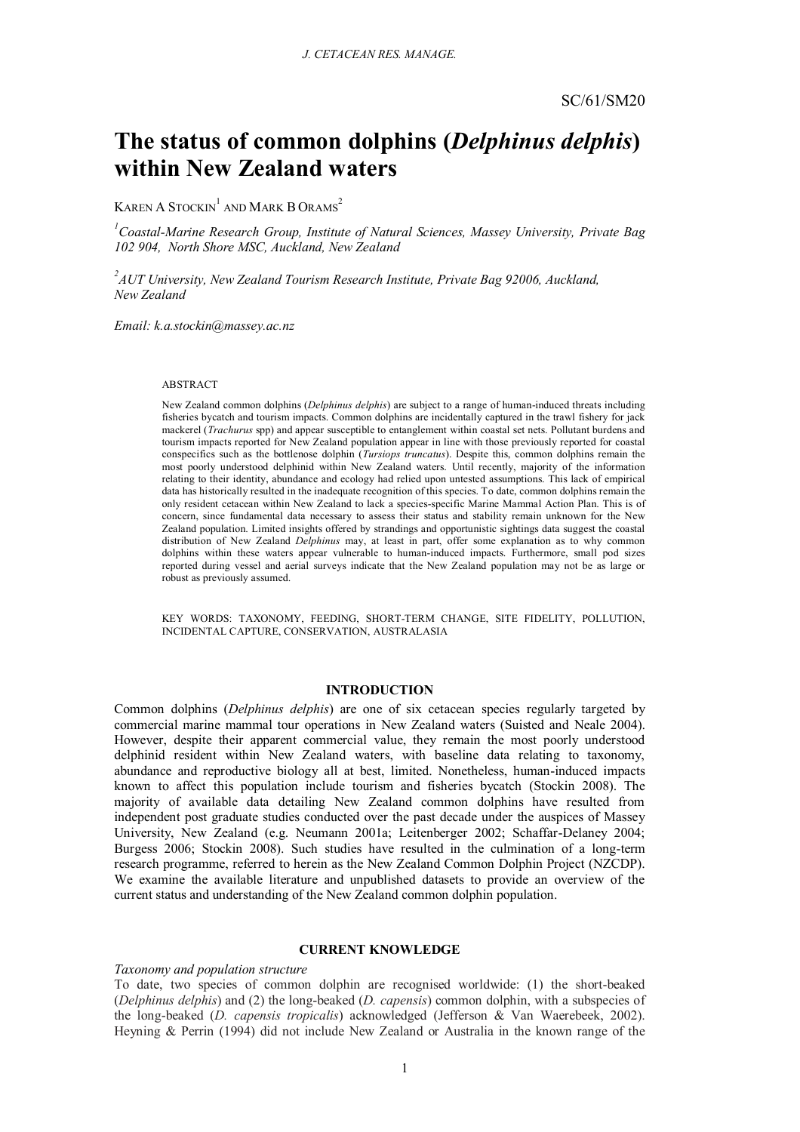# **The status of common dolphins (***Delphinus delphis***) within New Zealand waters**

KAREN A STOCKIN $^{\rm l}$  and Mark B Orams $^{\rm 2}$ 

*1 Coastal-Marine Research Group, Institute of Natural Sciences, Massey University, Private Bag 102 904, North Shore MSC, Auckland, New Zealand*

*2 AUT University, New Zealand Tourism Research Institute, Private Bag 92006, Auckland, New Zealand*

*Email: k.a.stockin@massey.ac.nz*

#### ABSTRACT

New Zealand common dolphins (*Delphinus delphis*) are subject to a range of human-induced threats including fisheries bycatch and tourism impacts. Common dolphins are incidentally captured in the trawl fishery for jack mackerel (*Trachurus* spp) and appear susceptible to entanglement within coastal set nets. Pollutant burdens and tourism impacts reported for New Zealand population appear in line with those previously reported for coastal conspecifics such as the bottlenose dolphin (*Tursiops truncatus*). Despite this, common dolphins remain the most poorly understood delphinid within New Zealand waters. Until recently, majority of the information relating to their identity, abundance and ecology had relied upon untested assumptions. This lack of empirical data has historically resulted in the inadequate recognition of this species. To date, common dolphins remain the only resident cetacean within New Zealand to lack a species-specific Marine Mammal Action Plan. This is of concern, since fundamental data necessary to assess their status and stability remain unknown for the New Zealand population. Limited insights offered by strandings and opportunistic sightings data suggest the coastal distribution of New Zealand *Delphinus* may, at least in part, offer some explanation as to why common dolphins within these waters appear vulnerable to human-induced impacts. Furthermore, small pod sizes reported during vessel and aerial surveys indicate that the New Zealand population may not be as large or robust as previously assumed.

KEY WORDS: TAXONOMY, FEEDING, SHORT-TERM CHANGE, SITE FIDELITY, POLLUTION, INCIDENTAL CAPTURE, CONSERVATION, AUSTRALASIA

## **INTRODUCTION**

Common dolphins (*Delphinus delphis*) are one of six cetacean species regularly targeted by commercial marine mammal tour operations in New Zealand waters (Suisted and Neale 2004). However, despite their apparent commercial value, they remain the most poorly understood delphinid resident within New Zealand waters, with baseline data relating to taxonomy, abundance and reproductive biology all at best, limited. Nonetheless, human-induced impacts known to affect this population include tourism and fisheries bycatch (Stockin 2008). The majority of available data detailing New Zealand common dolphins have resulted from independent post graduate studies conducted over the past decade under the auspices of Massey University, New Zealand (e.g. Neumann 2001a; Leitenberger 2002; Schaffar-Delaney 2004; Burgess 2006; Stockin 2008). Such studies have resulted in the culmination of a long-term research programme, referred to herein as the New Zealand Common Dolphin Project (NZCDP). We examine the available literature and unpublished datasets to provide an overview of the current status and understanding of the New Zealand common dolphin population.

#### **CURRENT KNOWLEDGE**

#### *Taxonomy and population structure*

To date, two species of common dolphin are recognised worldwide: (1) the short-beaked (*Delphinus delphis*) and (2) the long-beaked (*D. capensis*) common dolphin, with a subspecies of the long-beaked (*D. capensis tropicalis*) acknowledged (Jefferson & Van Waerebeek, 2002). Heyning & Perrin (1994) did not include New Zealand or Australia in the known range of the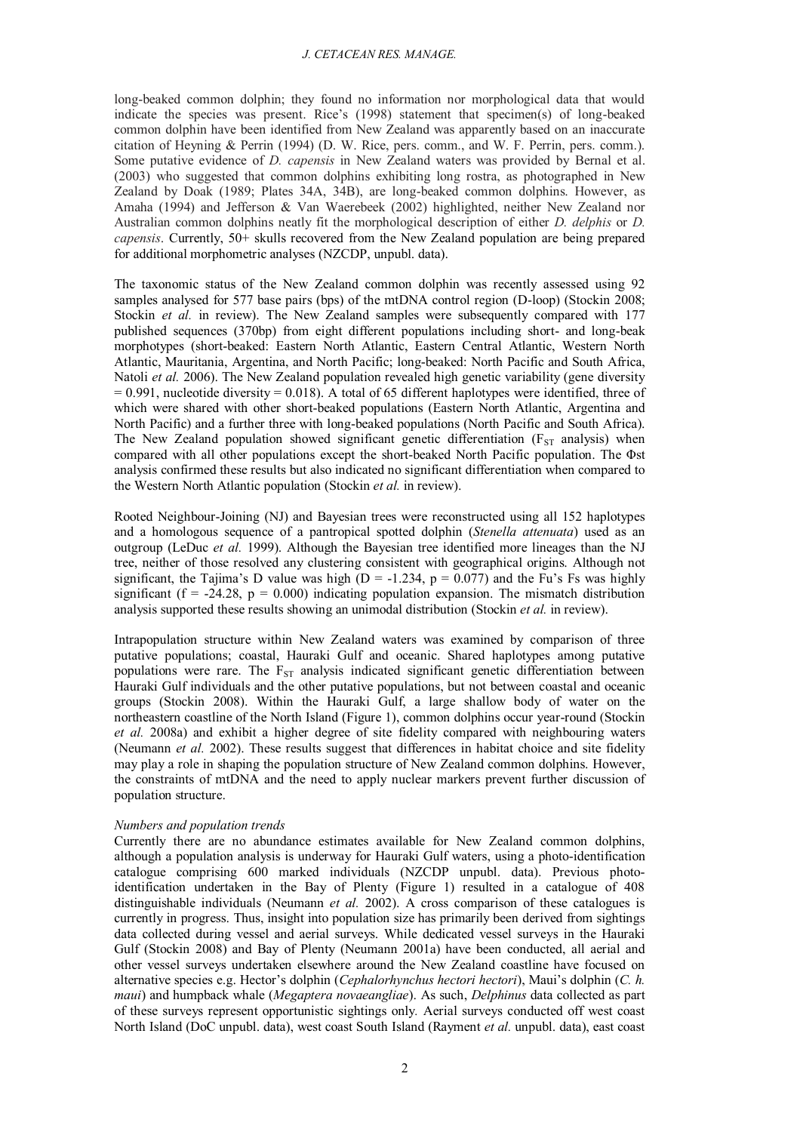long-beaked common dolphin; they found no information nor morphological data that would indicate the species was present. Rice's (1998) statement that specimen(s) of long-beaked common dolphin have been identified from New Zealand was apparently based on an inaccurate citation of Heyning & Perrin (1994) (D. W. Rice, pers. comm., and W. F. Perrin, pers. comm.). Some putative evidence of *D. capensis* in New Zealand waters was provided by Bernal et al. (2003) who suggested that common dolphins exhibiting long rostra, as photographed in New Zealand by Doak (1989; Plates 34A, 34B), are long-beaked common dolphins. However, as Amaha (1994) and Jefferson & Van Waerebeek (2002) highlighted, neither New Zealand nor Australian common dolphins neatly fit the morphological description of either *D. delphis* or *D. capensis*. Currently, 50+ skulls recovered from the New Zealand population are being prepared for additional morphometric analyses (NZCDP, unpubl. data).

The taxonomic status of the New Zealand common dolphin was recently assessed using 92 samples analysed for 577 base pairs (bps) of the mtDNA control region (D-loop) (Stockin 2008; Stockin *et al.* in review). The New Zealand samples were subsequently compared with 177 published sequences (370bp) from eight different populations including short- and long-beak morphotypes (short-beaked: Eastern North Atlantic, Eastern Central Atlantic, Western North Atlantic, Mauritania, Argentina, and North Pacific; long-beaked: North Pacific and South Africa, Natoli *et al.* 2006). The New Zealand population revealed high genetic variability (gene diversity  $= 0.991$ , nucleotide diversity  $= 0.018$ ). A total of 65 different haplotypes were identified, three of which were shared with other short-beaked populations (Eastern North Atlantic, Argentina and North Pacific) and a further three with long-beaked populations (North Pacific and South Africa). The New Zealand population showed significant genetic differentiation ( $F_{ST}$  analysis) when compared with all other populations except the short-beaked North Pacific population. The  $\Phi$ st analysis confirmed these results but also indicated no significant differentiation when compared to the Western North Atlantic population (Stockin *et al.* in review).

Rooted Neighbour-Joining (NJ) and Bayesian trees were reconstructed using all 152 haplotypes and a homologous sequence of a pantropical spotted dolphin (*Stenella attenuata*) used as an outgroup (LeDuc *et al.* 1999). Although the Bayesian tree identified more lineages than the NJ tree, neither of those resolved any clustering consistent with geographical origins. Although not significant, the Tajima's D value was high ( $D = -1.234$ ,  $p = 0.077$ ) and the Fu's Fs was highly significant ( $f = -24.28$ ,  $p = 0.000$ ) indicating population expansion. The mismatch distribution analysis supported these results showing an unimodal distribution (Stockin *et al.* in review).

Intrapopulation structure within New Zealand waters was examined by comparison of three putative populations; coastal, Hauraki Gulf and oceanic. Shared haplotypes among putative populations were rare. The  $F_{ST}$  analysis indicated significant genetic differentiation between Hauraki Gulf individuals and the other putative populations, but not between coastal and oceanic groups (Stockin 2008). Within the Hauraki Gulf, a large shallow body of water on the northeastern coastline of the North Island (Figure 1), common dolphins occur year-round (Stockin *et al.* 2008a) and exhibit a higher degree of site fidelity compared with neighbouring waters (Neumann *et al.* 2002). These results suggest that differences in habitat choice and site fidelity may play a role in shaping the population structure of New Zealand common dolphins. However, the constraints of mtDNA and the need to apply nuclear markers prevent further discussion of population structure.

#### *Numbers and population trends*

Currently there are no abundance estimates available for New Zealand common dolphins, although a population analysis is underway for Hauraki Gulf waters, using a photo-identification catalogue comprising 600 marked individuals (NZCDP unpubl. data). Previous photoidentification undertaken in the Bay of Plenty (Figure 1) resulted in a catalogue of 408 distinguishable individuals (Neumann *et al.* 2002). A cross comparison of these catalogues is currently in progress. Thus, insight into population size has primarily been derived from sightings data collected during vessel and aerial surveys. While dedicated vessel surveys in the Hauraki Gulf (Stockin 2008) and Bay of Plenty (Neumann 2001a) have been conducted, all aerial and other vessel surveys undertaken elsewhere around the New Zealand coastline have focused on alternative species e.g. Hector's dolphin (*Cephalorhynchus hectori hectori*), Maui's dolphin (*C. h. maui*) and humpback whale (*Megaptera novaeangliae*). As such, *Delphinus* data collected as part of these surveys represent opportunistic sightings only*.* Aerial surveys conducted off west coast North Island (DoC unpubl. data), west coast South Island (Rayment *et al.* unpubl. data), east coast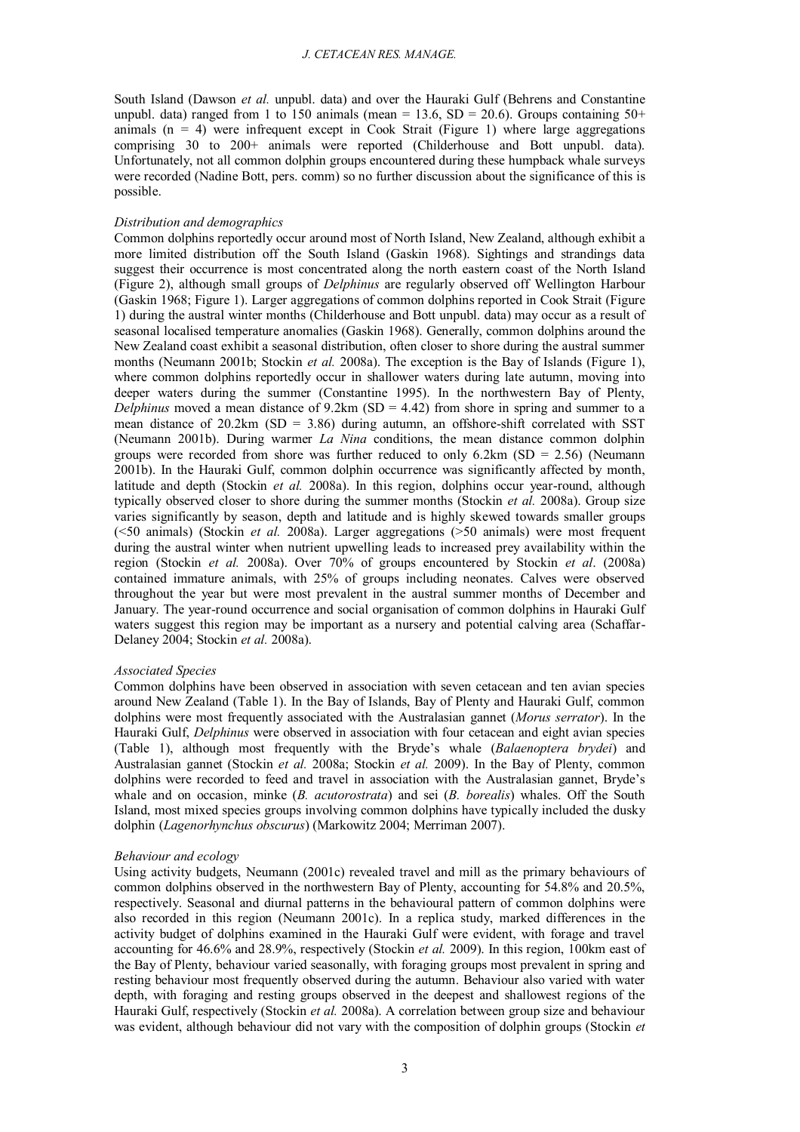South Island (Dawson *et al.* unpubl. data) and over the Hauraki Gulf (Behrens and Constantine unpubl. data) ranged from 1 to 150 animals (mean = 13.6,  $SD = 20.6$ ). Groups containing 50+ animals  $(n = 4)$  were infrequent except in Cook Strait (Figure 1) where large aggregations comprising 30 to 200+ animals were reported (Childerhouse and Bott unpubl. data). Unfortunately, not all common dolphin groups encountered during these humpback whale surveys were recorded (Nadine Bott, pers. comm) so no further discussion about the significance of this is possible.

#### *Distribution and demographics*

Common dolphins reportedly occur around most of North Island, New Zealand, although exhibit a more limited distribution off the South Island (Gaskin 1968). Sightings and strandings data suggest their occurrence is most concentrated along the north eastern coast of the North Island (Figure 2), although small groups of *Delphinus* are regularly observed off Wellington Harbour (Gaskin 1968; Figure 1). Larger aggregations of common dolphins reported in Cook Strait (Figure 1) during the austral winter months (Childerhouse and Bott unpubl. data) may occur as a result of seasonal localised temperature anomalies (Gaskin 1968). Generally, common dolphins around the New Zealand coast exhibit a seasonal distribution, often closer to shore during the austral summer months (Neumann 2001b; Stockin *et al.* 2008a). The exception is the Bay of Islands (Figure 1), where common dolphins reportedly occur in shallower waters during late autumn, moving into deeper waters during the summer (Constantine 1995). In the northwestern Bay of Plenty, *Delphinus* moved a mean distance of  $9.2 \text{km}$  (SD = 4.42) from shore in spring and summer to a mean distance of  $20.2 \text{km}$  (SD = 3.86) during autumn, an offshore-shift correlated with SST (Neumann 2001b). During warmer *La Nina* conditions, the mean distance common dolphin groups were recorded from shore was further reduced to only  $6.2 \text{km}$  (SD = 2.56) (Neumann 2001b). In the Hauraki Gulf, common dolphin occurrence was significantly affected by month, latitude and depth (Stockin *et al.* 2008a). In this region, dolphins occur year-round, although typically observed closer to shore during the summer months (Stockin *et al.* 2008a). Group size varies significantly by season, depth and latitude and is highly skewed towards smaller groups (<50 animals) (Stockin *et al.* 2008a). Larger aggregations (>50 animals) were most frequent during the austral winter when nutrient upwelling leads to increased prey availability within the region (Stockin *et al.* 2008a). Over 70% of groups encountered by Stockin *et al*. (2008a) contained immature animals, with 25% of groups including neonates. Calves were observed throughout the year but were most prevalent in the austral summer months of December and January. The year-round occurrence and social organisation of common dolphins in Hauraki Gulf waters suggest this region may be important as a nursery and potential calving area (Schaffar-Delaney 2004; Stockin *et al.* 2008a).

#### *Associated Species*

Common dolphins have been observed in association with seven cetacean and ten avian species around New Zealand (Table 1). In the Bay of Islands, Bay of Plenty and Hauraki Gulf, common dolphins were most frequently associated with the Australasian gannet (*Morus serrator*). In the Hauraki Gulf, *Delphinus* were observed in association with four cetacean and eight avian species (Table 1), although most frequently with the Bryde's whale (*Balaenoptera brydei*) and Australasian gannet (Stockin *et al.* 2008a; Stockin *et al.* 2009). In the Bay of Plenty, common dolphins were recorded to feed and travel in association with the Australasian gannet, Bryde's whale and on occasion, minke (*B. acutorostrata*) and sei (*B. borealis*) whales. Off the South Island, most mixed species groups involving common dolphins have typically included the dusky dolphin (*Lagenorhynchus obscurus*) (Markowitz 2004; Merriman 2007).

#### *Behaviour and ecology*

Using activity budgets, Neumann (2001c) revealed travel and mill as the primary behaviours of common dolphins observed in the northwestern Bay of Plenty, accounting for 54.8% and 20.5%, respectively. Seasonal and diurnal patterns in the behavioural pattern of common dolphins were also recorded in this region (Neumann 2001c). In a replica study, marked differences in the activity budget of dolphins examined in the Hauraki Gulf were evident, with forage and travel accounting for 46.6% and 28.9%, respectively (Stockin *et al.* 2009). In this region, 100km east of the Bay of Plenty, behaviour varied seasonally, with foraging groups most prevalent in spring and resting behaviour most frequently observed during the autumn. Behaviour also varied with water depth, with foraging and resting groups observed in the deepest and shallowest regions of the Hauraki Gulf, respectively (Stockin *et al.* 2008a). A correlation between group size and behaviour was evident, although behaviour did not vary with the composition of dolphin groups (Stockin *et*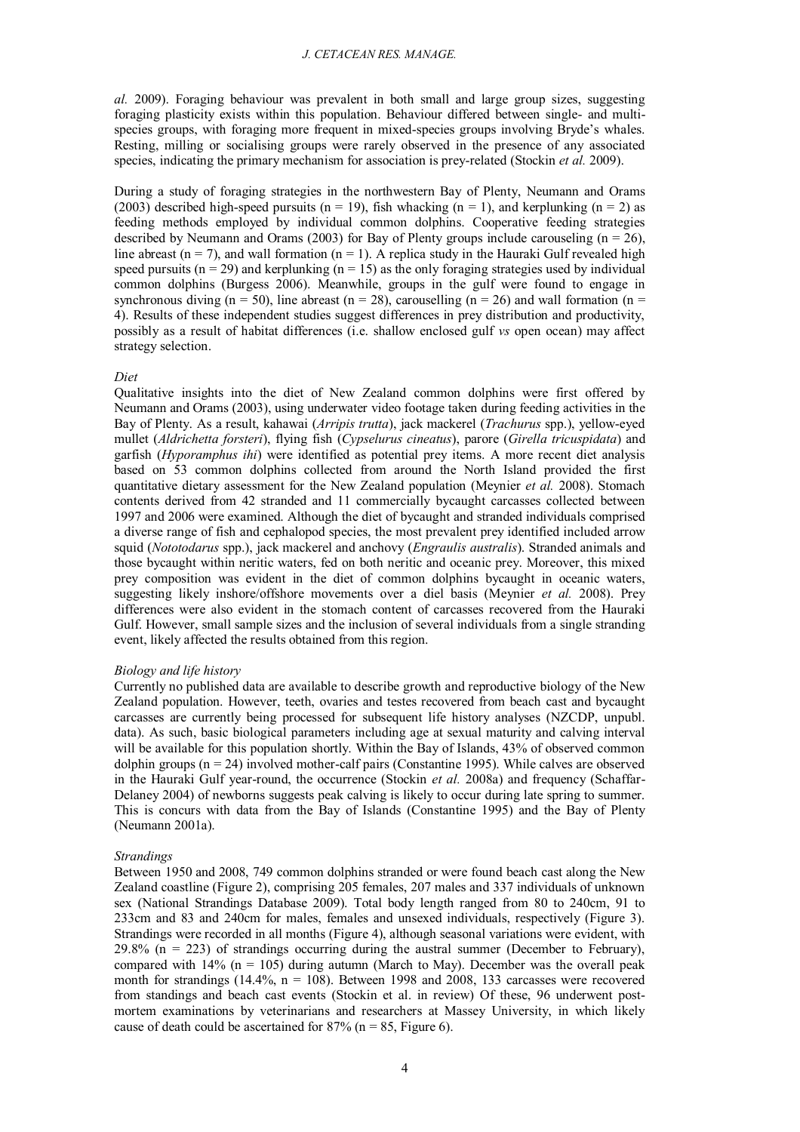*al.* 2009). Foraging behaviour was prevalent in both small and large group sizes, suggesting foraging plasticity exists within this population. Behaviour differed between single- and multispecies groups, with foraging more frequent in mixed-species groups involving Bryde's whales. Resting, milling or socialising groups were rarely observed in the presence of any associated species, indicating the primary mechanism for association is prey-related (Stockin *et al.* 2009).

During a study of foraging strategies in the northwestern Bay of Plenty, Neumann and Orams (2003) described high-speed pursuits ( $n = 19$ ), fish whacking ( $n = 1$ ), and kerplunking ( $n = 2$ ) as feeding methods employed by individual common dolphins. Cooperative feeding strategies described by Neumann and Orams (2003) for Bay of Plenty groups include carouseling  $(n = 26)$ , line abreast ( $n = 7$ ), and wall formation ( $n = 1$ ). A replica study in the Hauraki Gulf revealed high speed pursuits ( $n = 29$ ) and kerplunking ( $n = 15$ ) as the only foraging strategies used by individual common dolphins (Burgess 2006). Meanwhile, groups in the gulf were found to engage in synchronous diving ( $n = 50$ ), line abreast ( $n = 28$ ), carouselling ( $n = 26$ ) and wall formation ( $n =$ 4). Results of these independent studies suggest differences in prey distribution and productivity, possibly as a result of habitat differences (i.e. shallow enclosed gulf *vs* open ocean) may affect strategy selection.

#### *Diet*

Qualitative insights into the diet of New Zealand common dolphins were first offered by Neumann and Orams (2003), using underwater video footage taken during feeding activities in the Bay of Plenty. As a result, kahawai (*Arripis trutta*), jack mackerel (*Trachurus* spp.), yellow-eyed mullet (*Aldrichetta forsteri*), flying fish (*Cypselurus cineatus*), parore (*Girella tricuspidata*) and garfish (*Hyporamphus ihi*) were identified as potential prey items. A more recent diet analysis based on 53 common dolphins collected from around the North Island provided the first quantitative dietary assessment for the New Zealand population (Meynier *et al.* 2008). Stomach contents derived from 42 stranded and 11 commercially bycaught carcasses collected between 1997 and 2006 were examined. Although the diet of bycaught and stranded individuals comprised a diverse range of fish and cephalopod species, the most prevalent prey identified included arrow squid (*Nototodarus* spp.), jack mackerel and anchovy (*Engraulis australis*). Stranded animals and those bycaught within neritic waters, fed on both neritic and oceanic prey. Moreover, this mixed prey composition was evident in the diet of common dolphins bycaught in oceanic waters, suggesting likely inshore/offshore movements over a diel basis (Meynier *et al.* 2008). Prey differences were also evident in the stomach content of carcasses recovered from the Hauraki Gulf. However, small sample sizes and the inclusion of several individuals from a single stranding event, likely affected the results obtained from this region.

#### *Biology and life history*

Currently no published data are available to describe growth and reproductive biology of the New Zealand population. However, teeth, ovaries and testes recovered from beach cast and bycaught carcasses are currently being processed for subsequent life history analyses (NZCDP, unpubl. data). As such, basic biological parameters including age at sexual maturity and calving interval will be available for this population shortly. Within the Bay of Islands, 43% of observed common dolphin groups  $(n = 24)$  involved mother-calf pairs (Constantine 1995). While calves are observed in the Hauraki Gulf year-round, the occurrence (Stockin *et al.* 2008a) and frequency (Schaffar-Delaney 2004) of newborns suggests peak calving is likely to occur during late spring to summer. This is concurs with data from the Bay of Islands (Constantine 1995) and the Bay of Plenty (Neumann 2001a).

#### *Strandings*

Between 1950 and 2008, 749 common dolphins stranded or were found beach cast along the New Zealand coastline (Figure 2), comprising 205 females, 207 males and 337 individuals of unknown sex (National Strandings Database 2009). Total body length ranged from 80 to 240cm, 91 to 233cm and 83 and 240cm for males, females and unsexed individuals, respectively (Figure 3). Strandings were recorded in all months (Figure 4), although seasonal variations were evident, with 29.8% ( $n = 223$ ) of strandings occurring during the austral summer (December to February), compared with  $14\%$  (n = 105) during autumn (March to May). December was the overall peak month for strandings  $(14.4\% \, \text{n} = 108)$ . Between 1998 and 2008, 133 carcasses were recovered from standings and beach cast events (Stockin et al. in review) Of these, 96 underwent postmortem examinations by veterinarians and researchers at Massey University, in which likely cause of death could be ascertained for  $87\%$  (n = 85, Figure 6).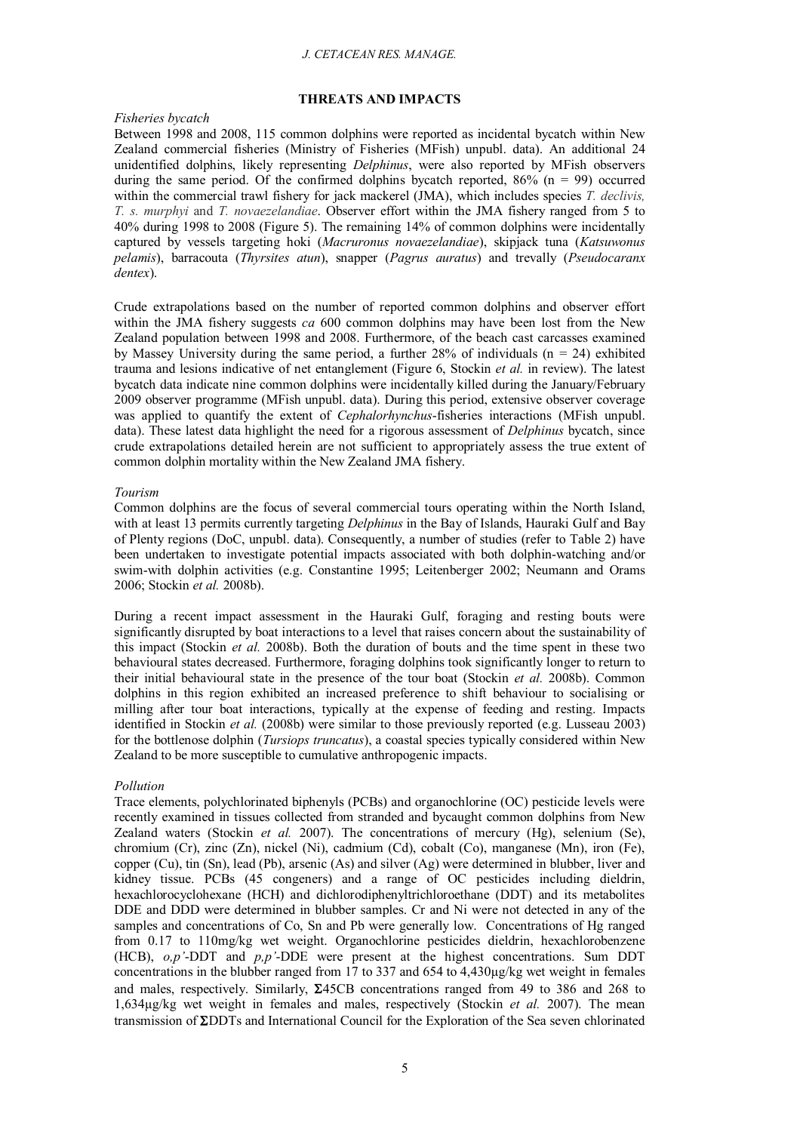## **THREATS AND IMPACTS**

## *Fisheries bycatch*

Between 1998 and 2008, 115 common dolphins were reported as incidental bycatch within New Zealand commercial fisheries (Ministry of Fisheries (MFish) unpubl. data). An additional 24 unidentified dolphins, likely representing *Delphinus*, were also reported by MFish observers during the same period. Of the confirmed dolphins bycatch reported,  $86\%$  (n = 99) occurred within the commercial trawl fishery for jack mackerel (JMA), which includes species *T. declivis, T. s. murphyi* and *T. novaezelandiae*. Observer effort within the JMA fishery ranged from 5 to 40% during 1998 to 2008 (Figure 5). The remaining 14% of common dolphins were incidentally captured by vessels targeting hoki (*Macruronus novaezelandiae*), skipjack tuna (*Katsuwonus pelamis*), barracouta (*Thyrsites atun*), snapper (*Pagrus auratus*) and trevally (*Pseudocaranx dentex*).

Crude extrapolations based on the number of reported common dolphins and observer effort within the JMA fishery suggests *ca* 600 common dolphins may have been lost from the New Zealand population between 1998 and 2008. Furthermore, of the beach cast carcasses examined by Massey University during the same period, a further 28% of individuals ( $n = 24$ ) exhibited trauma and lesions indicative of net entanglement (Figure 6, Stockin *et al.* in review). The latest bycatch data indicate nine common dolphins were incidentally killed during the January/February 2009 observer programme (MFish unpubl. data). During this period, extensive observer coverage was applied to quantify the extent of *Cephalorhynchus*-fisheries interactions (MFish unpubl. data). These latest data highlight the need for a rigorous assessment of *Delphinus* bycatch, since crude extrapolations detailed herein are not sufficient to appropriately assess the true extent of common dolphin mortality within the New Zealand JMA fishery.

#### *Tourism*

Common dolphins are the focus of several commercial tours operating within the North Island, with at least 13 permits currently targeting *Delphinus* in the Bay of Islands, Hauraki Gulf and Bay of Plenty regions (DoC, unpubl. data). Consequently, a number of studies (refer to Table 2) have been undertaken to investigate potential impacts associated with both dolphin-watching and/or swim-with dolphin activities (e.g. Constantine 1995; Leitenberger 2002; Neumann and Orams 2006; Stockin *et al.* 2008b).

During a recent impact assessment in the Hauraki Gulf, foraging and resting bouts were significantly disrupted by boat interactions to a level that raises concern about the sustainability of this impact (Stockin *et al.* 2008b). Both the duration of bouts and the time spent in these two behavioural states decreased. Furthermore, foraging dolphins took significantly longer to return to their initial behavioural state in the presence of the tour boat (Stockin *et al.* 2008b). Common dolphins in this region exhibited an increased preference to shift behaviour to socialising or milling after tour boat interactions, typically at the expense of feeding and resting. Impacts identified in Stockin *et al.* (2008b) were similar to those previously reported (e.g. Lusseau 2003) for the bottlenose dolphin (*Tursiops truncatus*), a coastal species typically considered within New Zealand to be more susceptible to cumulative anthropogenic impacts.

#### *Pollution*

Trace elements, polychlorinated biphenyls (PCBs) and organochlorine (OC) pesticide levels were recently examined in tissues collected from stranded and bycaught common dolphins from New Zealand waters (Stockin *et al.* 2007). The concentrations of mercury (Hg), selenium (Se), chromium (Cr), zinc (Zn), nickel (Ni), cadmium (Cd), cobalt (Co), manganese (Mn), iron (Fe), copper (Cu), tin (Sn), lead (Pb), arsenic (As) and silver (Ag) were determined in blubber, liver and kidney tissue. PCBs (45 congeners) and a range of OC pesticides including dieldrin, hexachlorocyclohexane (HCH) and dichlorodiphenyltrichloroethane (DDT) and its metabolites DDE and DDD were determined in blubber samples. Cr and Ni were not detected in any of the samples and concentrations of Co, Sn and Pb were generally low. Concentrations of Hg ranged from 0.17 to 110mg/kg wet weight. Organochlorine pesticides dieldrin, hexachlorobenzene (HCB), *o,p'*-DDT and *p,p'*-DDE were present at the highest concentrations. Sum DDT concentrations in the blubber ranged from 17 to 337 and 654 to 4,430µg/kg wet weight in females and males, respectively. Similarly,  $\Sigma$ 45CB concentrations ranged from 49 to 386 and 268 to 1,634µg/kg wet weight in females and males, respectively (Stockin *et al.* 2007). The mean transmission of  $\Sigma$ DDTs and International Council for the Exploration of the Sea seven chlorinated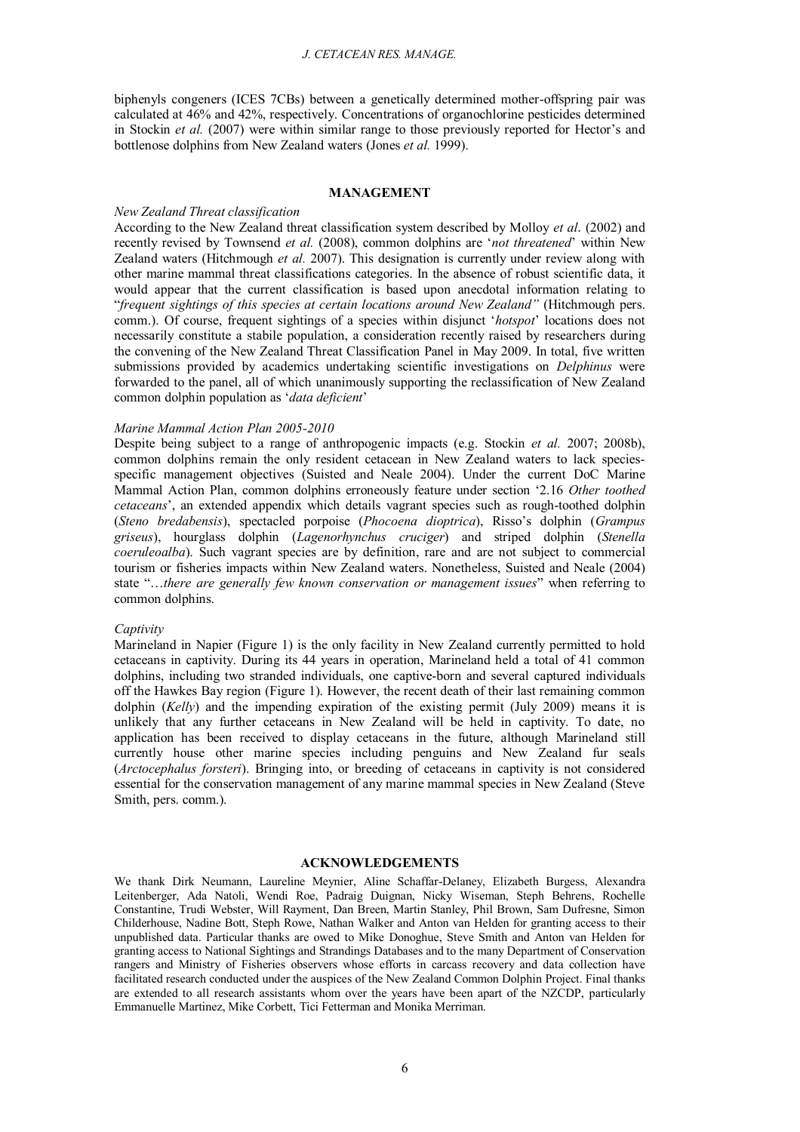biphenyls congeners (ICES 7CBs) between a genetically determined mother-offspring pair was calculated at 46% and 42%, respectively. Concentrations of organochlorine pesticides determined in Stockin *et al.* (2007) were within similar range to those previously reported for Hector's and bottlenose dolphins from New Zealand waters (Jones *et al.* 1999).

#### **MANAGEMENT**

## *New Zealand Threat classification*

According to the New Zealand threat classification system described by Molloy *et al.* (2002) and recently revised by Townsend *et al.* (2008), common dolphins are '*not threatened*' within New Zealand waters (Hitchmough *et al.* 2007). This designation is currently under review along with other marine mammal threat classifications categories. In the absence of robust scientific data, it would appear that the current classification is based upon anecdotal information relating to "*frequent sightings of this species at certain locations around New Zealand"* (Hitchmough pers. comm.). Of course, frequent sightings of a species within disjunct '*hotspot*' locations does not necessarily constitute a stabile population, a consideration recently raised by researchers during the convening of the New Zealand Threat Classification Panel in May 2009. In total, five written submissions provided by academics undertaking scientific investigations on *Delphinus* were forwarded to the panel, all of which unanimously supporting the reclassification of New Zealand common dolphin population as '*data deficient*'

## *Marine Mammal Action Plan 2005-2010*

Despite being subject to a range of anthropogenic impacts (e.g. Stockin *et al.* 2007; 2008b), common dolphins remain the only resident cetacean in New Zealand waters to lack speciesspecific management objectives (Suisted and Neale 2004). Under the current DoC Marine Mammal Action Plan, common dolphins erroneously feature under section '2.16 *Other toothed cetaceans*', an extended appendix which details vagrant species such as rough-toothed dolphin (*Steno bredabensis*), spectacled porpoise (*Phocoena dioptrica*), Risso's dolphin (*Grampus griseus*), hourglass dolphin (*Lagenorhynchus cruciger*) and striped dolphin (*Stenella coeruleoalba*). Such vagrant species are by definition, rare and are not subject to commercial tourism or fisheries impacts within New Zealand waters. Nonetheless, Suisted and Neale (2004) state "…*there are generally few known conservation or management issues*" when referring to common dolphins.

#### *Captivity*

Marineland in Napier (Figure 1) is the only facility in New Zealand currently permitted to hold cetaceans in captivity. During its 44 years in operation, Marineland held a total of 41 common dolphins, including two stranded individuals, one captive-born and several captured individuals off the Hawkes Bay region (Figure 1). However, the recent death of their last remaining common dolphin (*Kelly*) and the impending expiration of the existing permit (July 2009) means it is unlikely that any further cetaceans in New Zealand will be held in captivity. To date, no application has been received to display cetaceans in the future, although Marineland still currently house other marine species including penguins and New Zealand fur seals (*Arctocephalus forsteri*). Bringing into, or breeding of cetaceans in captivity is not considered essential for the conservation management of any marine mammal species in New Zealand (Steve Smith, pers. comm.).

# **ACKNOWLEDGEMENTS**

We thank Dirk Neumann, Laureline Meynier, Aline Schaffar-Delaney, Elizabeth Burgess, Alexandra Leitenberger, Ada Natoli, Wendi Roe, Padraig Duignan, Nicky Wiseman, Steph Behrens, Rochelle Constantine, Trudi Webster, Will Rayment, Dan Breen, Martin Stanley, Phil Brown, Sam Dufresne, Simon Childerhouse, Nadine Bott, Steph Rowe, Nathan Walker and Anton van Helden for granting access to their unpublished data. Particular thanks are owed to Mike Donoghue, Steve Smith and Anton van Helden for granting access to National Sightings and Strandings Databases and to the many Department of Conservation rangers and Ministry of Fisheries observers whose efforts in carcass recovery and data collection have facilitated research conducted under the auspices of the New Zealand Common Dolphin Project. Final thanks are extended to all research assistants whom over the years have been apart of the NZCDP, particularly Emmanuelle Martinez, Mike Corbett, Tici Fetterman and Monika Merriman.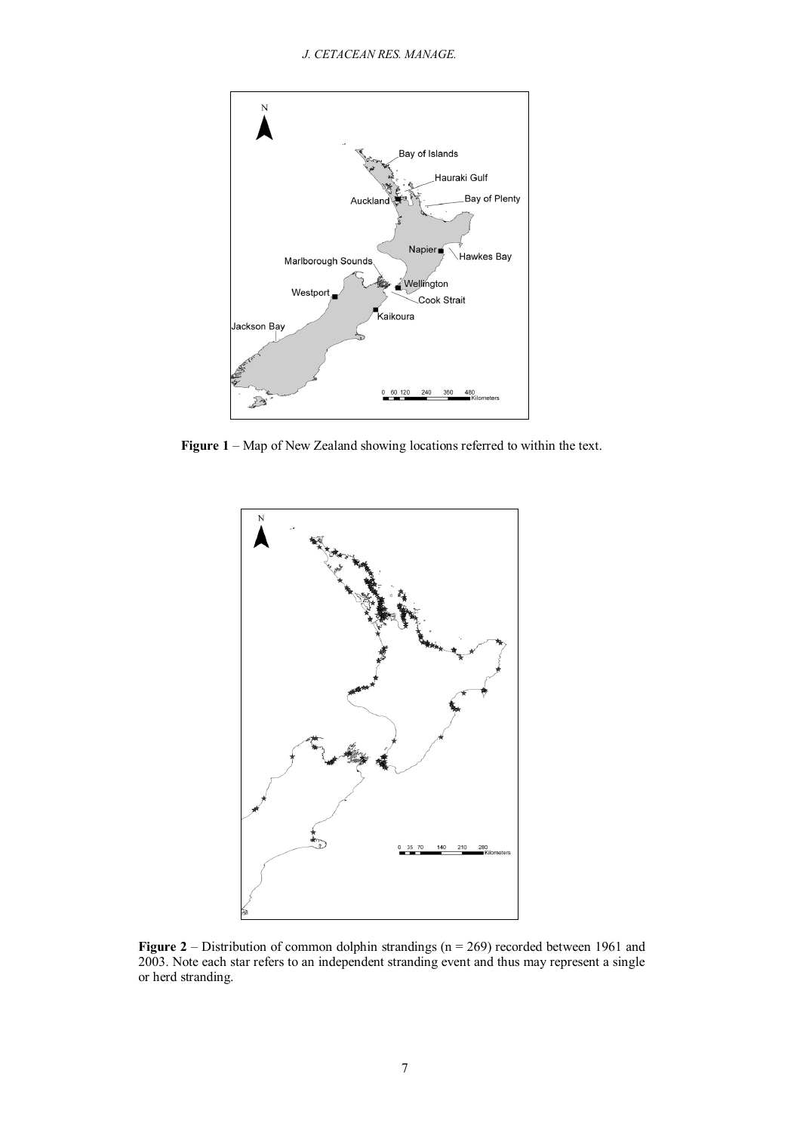

**Figure 1** – Map of New Zealand showing locations referred to within the text.



**Figure 2** – Distribution of common dolphin strandings (n = 269) recorded between 1961 and 2003. Note each star refers to an independent stranding event and thus may represent a single or herd stranding.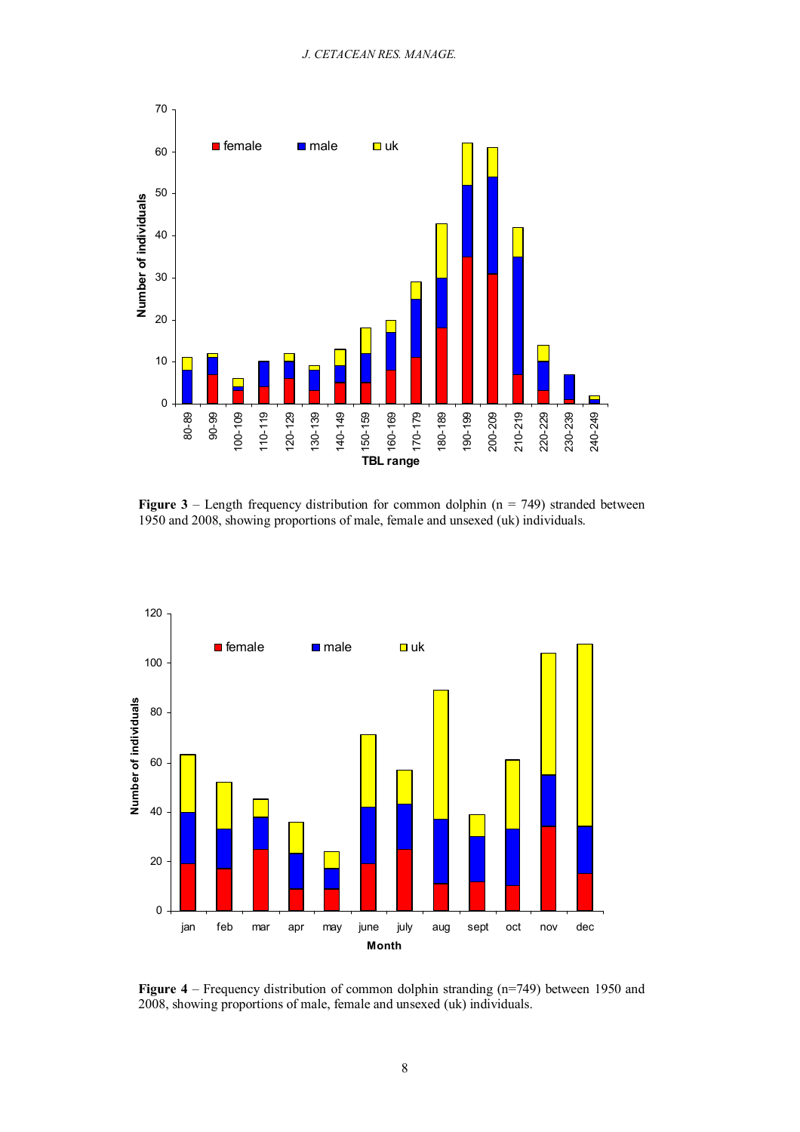

**Figure 3** – Length frequency distribution for common dolphin ( $n = 749$ ) stranded between 1950 and 2008, showing proportions of male, female and unsexed (uk) individuals.



**Figure 4** – Frequency distribution of common dolphin stranding (n=749) between 1950 and 2008, showing proportions of male, female and unsexed (uk) individuals.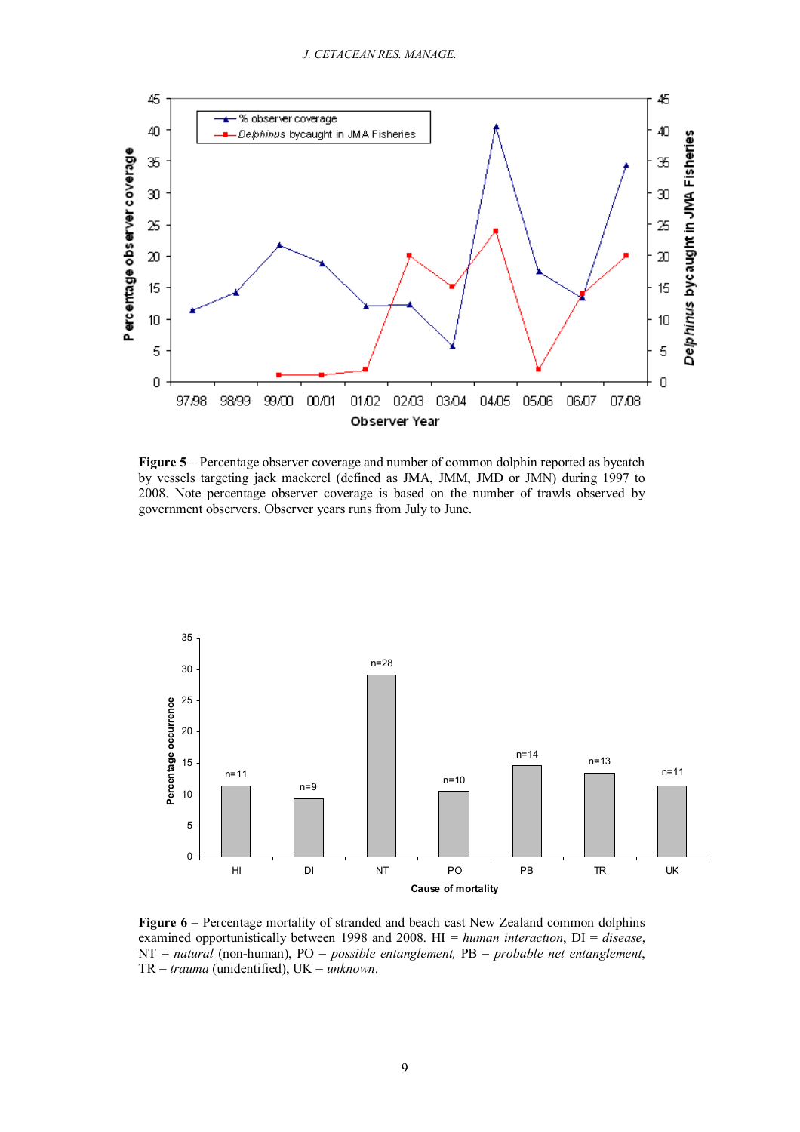

**Figure 5** – Percentage observer coverage and number of common dolphin reported as bycatch by vessels targeting jack mackerel (defined as JMA, JMM, JMD or JMN) during 1997 to 2008. Note percentage observer coverage is based on the number of trawls observed by government observers. Observer years runs from July to June.



**Figure 6 –** Percentage mortality of stranded and beach cast New Zealand common dolphins examined opportunistically between 1998 and 2008. HI = *human interaction*, DI = *disease*, NT = *natural* (non-human), PO = *possible entanglement,* PB = *probable net entanglement*, TR = *trauma* (unidentified), UK = *unknown*.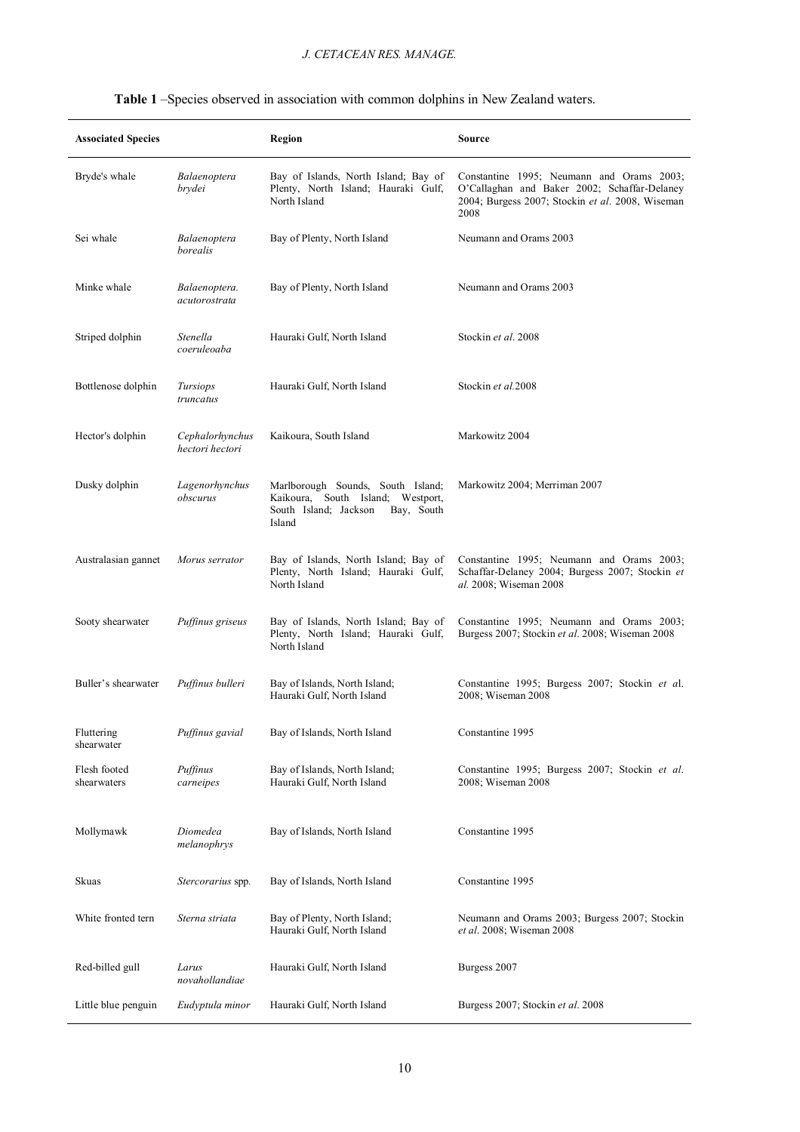| <b>Associated Species</b>   |                                    | Region                                                                                                                  | Source                                                                                                                                                |  |
|-----------------------------|------------------------------------|-------------------------------------------------------------------------------------------------------------------------|-------------------------------------------------------------------------------------------------------------------------------------------------------|--|
| Bryde's whale               | Balaenoptera<br>brydei             | Bay of Islands, North Island; Bay of<br>Plenty, North Island; Hauraki Gulf,<br>North Island                             | Constantine 1995; Neumann and Orams 2003;<br>O'Callaghan and Baker 2002; Schaffar-Delaney<br>2004; Burgess 2007; Stockin et al. 2008, Wiseman<br>2008 |  |
| Sei whale                   | Balaenoptera<br>borealis           | Bay of Plenty, North Island                                                                                             | Neumann and Orams 2003                                                                                                                                |  |
| Minke whale                 | Balaenoptera.<br>acutorostrata     | Bay of Plenty, North Island                                                                                             | Neumann and Orams 2003                                                                                                                                |  |
| Striped dolphin             | Stenella<br>coeruleoaba            | Hauraki Gulf, North Island                                                                                              | Stockin et al. 2008                                                                                                                                   |  |
| Bottlenose dolphin          | Tursiops<br>truncatus              | Hauraki Gulf, North Island                                                                                              | Stockin et al.2008                                                                                                                                    |  |
| Hector's dolphin            | Cephalorhynchus<br>hectori hectori | Kaikoura, South Island                                                                                                  | Markowitz 2004                                                                                                                                        |  |
| Dusky dolphin               | Lagenorhynchus<br>obscurus         | Marlborough Sounds, South Island;<br>Kaikoura, South Island; Westport,<br>South Island; Jackson<br>Bay, South<br>Island | Markowitz 2004; Merriman 2007                                                                                                                         |  |
| Australasian gannet         | Morus serrator                     | Bay of Islands, North Island; Bay of<br>Plenty, North Island; Hauraki Gulf,<br>North Island                             | Constantine 1995; Neumann and Orams 2003;<br>Schaffar-Delaney 2004; Burgess 2007; Stockin et<br>al. 2008; Wiseman 2008                                |  |
| Sooty shearwater            | Puffinus griseus                   | Bay of Islands, North Island; Bay of<br>Plenty, North Island; Hauraki Gulf,<br>North Island                             | Constantine 1995; Neumann and Orams 2003;<br>Burgess 2007; Stockin et al. 2008; Wiseman 2008                                                          |  |
| Buller's shearwater         | Puffinus bulleri                   | Bay of Islands, North Island;<br>Hauraki Gulf, North Island                                                             | Constantine 1995; Burgess 2007; Stockin et al.<br>2008; Wiseman 2008                                                                                  |  |
| Fluttering<br>shearwater    | Puffinus gavial                    | Bay of Islands, North Island                                                                                            | Constantine 1995                                                                                                                                      |  |
| Flesh footed<br>shearwaters | Puffinus<br>carneipes              | Bay of Islands, North Island;<br>Hauraki Gulf, North Island                                                             | Constantine 1995; Burgess 2007; Stockin et al.<br>2008; Wiseman 2008                                                                                  |  |
| Mollymawk                   | Diomedea<br>melanophrys            | Bay of Islands, North Island                                                                                            | Constantine 1995                                                                                                                                      |  |
| Skuas                       | Stercorarius spp.                  | Bay of Islands, North Island                                                                                            | Constantine 1995                                                                                                                                      |  |
| White fronted tern          | Sterna striata                     | Bay of Plenty, North Island;<br>Hauraki Gulf, North Island                                                              | Neumann and Orams 2003; Burgess 2007; Stockin<br>et al. 2008; Wiseman 2008                                                                            |  |
| Red-billed gull             | Larus<br>novahollandiae            | Hauraki Gulf, North Island                                                                                              | Burgess 2007                                                                                                                                          |  |
| Little blue penguin         | Eudyptula minor                    | Hauraki Gulf, North Island                                                                                              | Burgess 2007; Stockin et al. 2008                                                                                                                     |  |

# **Table 1** –Species observed in association with common dolphins in New Zealand waters.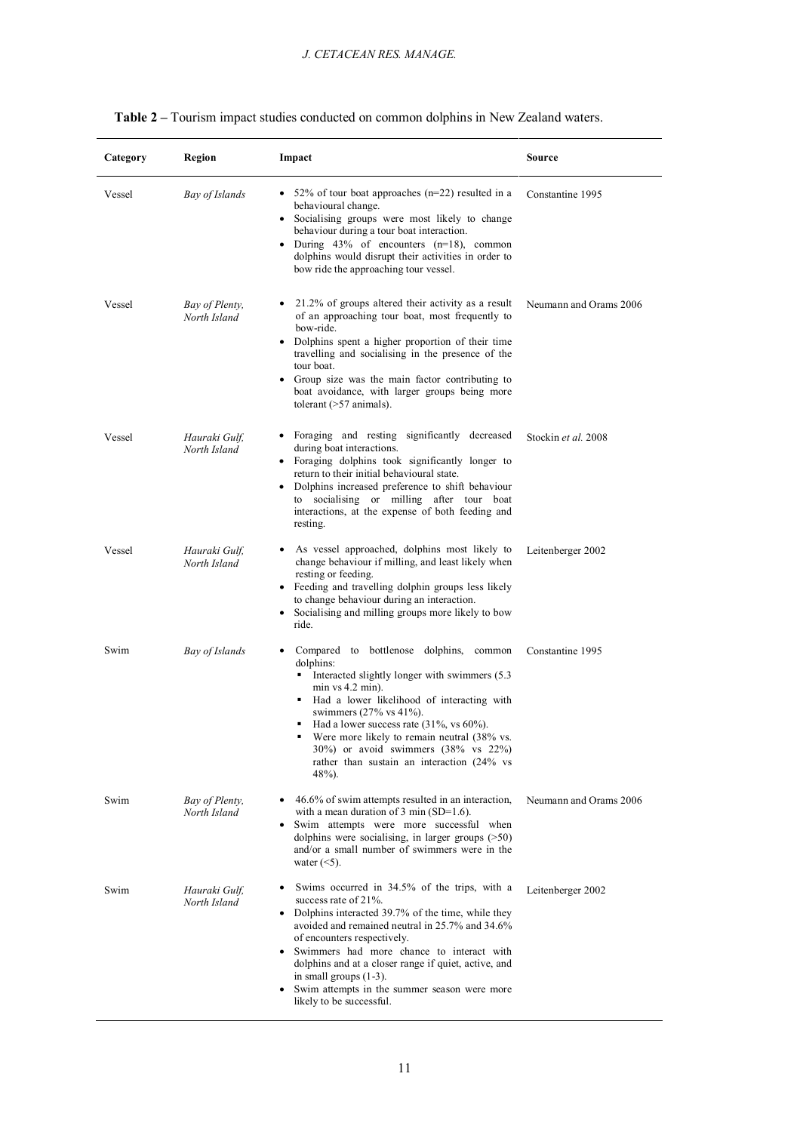| Category | Region                         | Impact                                                                                                                                                                                                                                                                                                                                                                                                                                                               | <b>Source</b>          |
|----------|--------------------------------|----------------------------------------------------------------------------------------------------------------------------------------------------------------------------------------------------------------------------------------------------------------------------------------------------------------------------------------------------------------------------------------------------------------------------------------------------------------------|------------------------|
| Vessel   | Bay of Islands                 | • 52% of tour boat approaches $(n=22)$ resulted in a<br>behavioural change.<br>• Socialising groups were most likely to change<br>behaviour during a tour boat interaction.<br>• During $43\%$ of encounters $(n=18)$ , common<br>dolphins would disrupt their activities in order to<br>bow ride the approaching tour vessel.                                                                                                                                       | Constantine 1995       |
| Vessel   | Bay of Plenty,<br>North Island | 21.2% of groups altered their activity as a result<br>of an approaching tour boat, most frequently to<br>bow-ride.<br>• Dolphins spent a higher proportion of their time<br>travelling and socialising in the presence of the<br>tour boat.<br>• Group size was the main factor contributing to<br>boat avoidance, with larger groups being more<br>tolerant $($ >57 animals $).$                                                                                    | Neumann and Orams 2006 |
| Vessel   | Hauraki Gulf,<br>North Island  | Foraging and resting significantly decreased<br>٠<br>during boat interactions.<br>• Foraging dolphins took significantly longer to<br>return to their initial behavioural state.<br>• Dolphins increased preference to shift behaviour<br>to socialising or milling after tour boat<br>interactions, at the expense of both feeding and<br>resting.                                                                                                                  | Stockin et al. 2008    |
| Vessel   | Hauraki Gulf,<br>North Island  | As vessel approached, dolphins most likely to<br>change behaviour if milling, and least likely when<br>resting or feeding.<br>• Feeding and travelling dolphin groups less likely<br>to change behaviour during an interaction.<br>• Socialising and milling groups more likely to bow<br>ride.                                                                                                                                                                      | Leitenberger 2002      |
| Swim     | Bay of Islands                 | Compared to bottlenose dolphins,<br>common<br>٠<br>dolphins:<br>$\blacksquare$ Interacted slightly longer with swimmers (5.3)<br>$min vs 4.2 min$ ).<br>• Had a lower likelihood of interacting with<br>swimmers $(27\% \text{ vs } 41\%).$<br>Had a lower success rate $(31\%$ , vs $60\%$ ).<br>٠<br>Were more likely to remain neutral (38% vs.<br>$30\%$ ) or avoid swimmers $(38\% \text{ vs } 22\%)$<br>rather than sustain an interaction (24% vs<br>$48%$ ). | Constantine 1995       |
| Swim     | Bay of Plenty,<br>North Island | 46.6% of swim attempts resulted in an interaction,<br>٠<br>with a mean duration of 3 min $(SD=1.6)$ .<br>• Swim attempts were more successful when<br>dolphins were socialising, in larger groups $($ >50)<br>and/or a small number of swimmers were in the<br>water $(<5)$ .                                                                                                                                                                                        | Neumann and Orams 2006 |
| Swim     | Hauraki Gulf,<br>North Island  | Swims occurred in 34.5% of the trips, with a<br>$\bullet$<br>success rate of 21%.<br>• Dolphins interacted 39.7% of the time, while they<br>avoided and remained neutral in 25.7% and 34.6%<br>of encounters respectively.<br>• Swimmers had more chance to interact with<br>dolphins and at a closer range if quiet, active, and<br>in small groups $(1-3)$ .<br>• Swim attempts in the summer season were more<br>likely to be successful.                         | Leitenberger 2002      |

# **Table 2 –** Tourism impact studies conducted on common dolphins in New Zealand waters.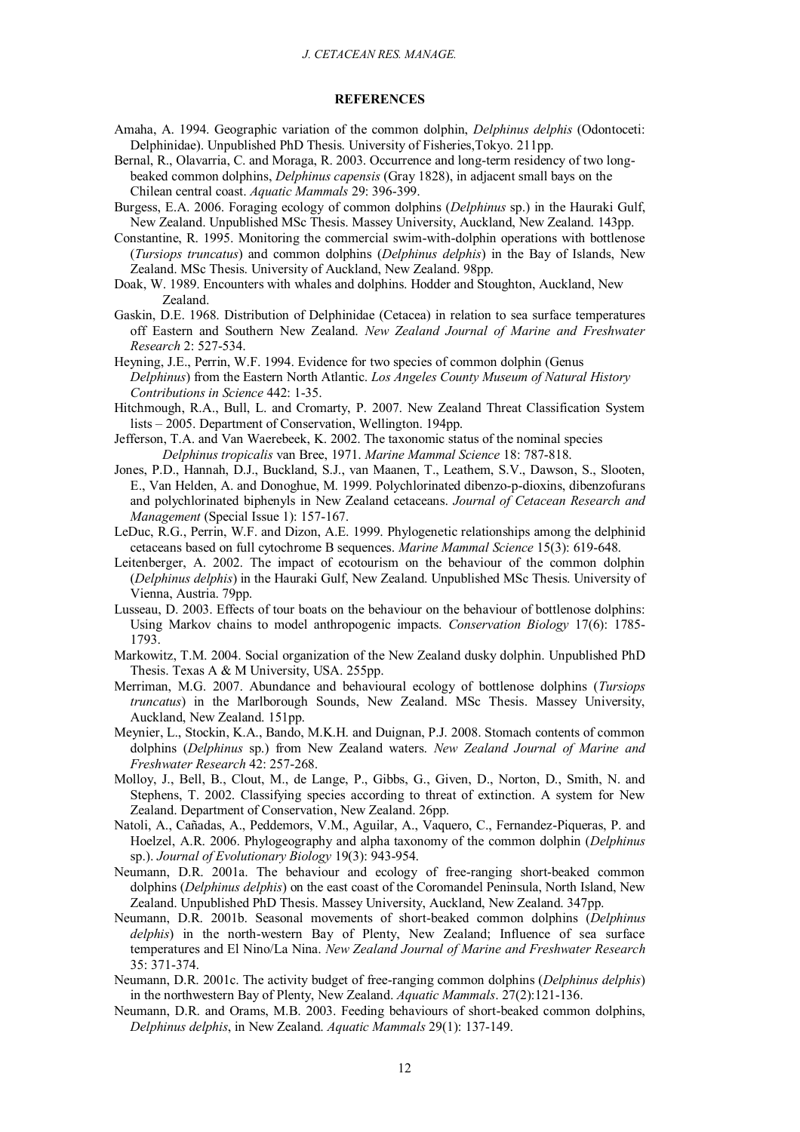#### **REFERENCES**

- Amaha, A. 1994. Geographic variation of the common dolphin, *Delphinus delphis* (Odontoceti: Delphinidae). Unpublished PhD Thesis. University of Fisheries,Tokyo. 211pp.
- Bernal, R., Olavarria, C. and Moraga, R. 2003. Occurrence and long-term residency of two longbeaked common dolphins, *Delphinus capensis* (Gray 1828), in adjacent small bays on the Chilean central coast. *Aquatic Mammals* 29: 396-399.
- Burgess, E.A. 2006. Foraging ecology of common dolphins (*Delphinus* sp.) in the Hauraki Gulf, New Zealand. Unpublished MSc Thesis. Massey University, Auckland, New Zealand. 143pp.
- Constantine, R. 1995. Monitoring the commercial swim-with-dolphin operations with bottlenose (*Tursiops truncatus*) and common dolphins (*Delphinus delphis*) in the Bay of Islands, New Zealand. MSc Thesis. University of Auckland, New Zealand. 98pp.
- Doak, W. 1989. Encounters with whales and dolphins. Hodder and Stoughton, Auckland, New Zealand.
- Gaskin, D.E. 1968. Distribution of Delphinidae (Cetacea) in relation to sea surface temperatures off Eastern and Southern New Zealand. *New Zealand Journal of Marine and Freshwater Research* 2: 527-534.
- Heyning, J.E., Perrin, W.F. 1994. Evidence for two species of common dolphin (Genus *Delphinus*) from the Eastern North Atlantic. *Los Angeles County Museum of Natural History Contributions in Science* 442: 1-35.
- Hitchmough, R.A., Bull, L. and Cromarty, P. 2007. New Zealand Threat Classification System lists – 2005. Department of Conservation, Wellington. 194pp.
- Jefferson, T.A. and Van Waerebeek, K. 2002. The taxonomic status of the nominal species *Delphinus tropicalis* van Bree, 1971. *Marine Mammal Science* 18: 787-818.
- Jones, P.D., Hannah, D.J., Buckland, S.J., van Maanen, T., Leathem, S.V., Dawson, S., Slooten, E., Van Helden, A. and Donoghue, M. 1999. Polychlorinated dibenzo-p-dioxins, dibenzofurans and polychlorinated biphenyls in New Zealand cetaceans. *Journal of Cetacean Research and Management* (Special Issue 1): 157-167.
- LeDuc, R.G., Perrin, W.F. and Dizon, A.E. 1999. Phylogenetic relationships among the delphinid cetaceans based on full cytochrome B sequences. *Marine Mammal Science* 15(3): 619-648.
- Leitenberger, A. 2002. The impact of ecotourism on the behaviour of the common dolphin (*Delphinus delphis*) in the Hauraki Gulf, New Zealand. Unpublished MSc Thesis. University of Vienna, Austria. 79pp.
- Lusseau, D. 2003. Effects of tour boats on the behaviour on the behaviour of bottlenose dolphins: Using Markov chains to model anthropogenic impacts. *Conservation Biology* 17(6): 1785- 1793.
- Markowitz, T.M. 2004. Social organization of the New Zealand dusky dolphin. Unpublished PhD Thesis. Texas A & M University, USA. 255pp.
- Merriman, M.G. 2007. Abundance and behavioural ecology of bottlenose dolphins (*Tursiops truncatus*) in the Marlborough Sounds, New Zealand. MSc Thesis. Massey University, Auckland, New Zealand. 151pp.
- Meynier, L., Stockin, K.A., Bando, M.K.H. and Duignan, P.J. 2008. Stomach contents of common dolphins (*Delphinus* sp.) from New Zealand waters. *New Zealand Journal of Marine and Freshwater Research* 42: 257-268.
- Molloy, J., Bell, B., Clout, M., de Lange, P., Gibbs, G., Given, D., Norton, D., Smith, N. and Stephens, T. 2002. Classifying species according to threat of extinction. A system for New Zealand. Department of Conservation, New Zealand. 26pp.
- Natoli, A., Cañadas, A., Peddemors, V.M., Aguilar, A., Vaquero, C., Fernandez-Piqueras, P. and Hoelzel, A.R. 2006. Phylogeography and alpha taxonomy of the common dolphin (*Delphinus* sp.). *Journal of Evolutionary Biology* 19(3): 943-954.
- Neumann, D.R. 2001a. The behaviour and ecology of free-ranging short-beaked common dolphins (*Delphinus delphis*) on the east coast of the Coromandel Peninsula, North Island, New Zealand. Unpublished PhD Thesis. Massey University, Auckland, New Zealand. 347pp.
- Neumann, D.R. 2001b. Seasonal movements of short-beaked common dolphins (*Delphinus delphis*) in the north-western Bay of Plenty, New Zealand; Influence of sea surface temperatures and El Nino/La Nina. *New Zealand Journal of Marine and Freshwater Research* 35: 371-374.
- Neumann, D.R. 2001c. The activity budget of free-ranging common dolphins (*Delphinus delphis*) in the northwestern Bay of Plenty, New Zealand. *Aquatic Mammals*. 27(2):121-136.
- Neumann, D.R. and Orams, M.B. 2003. Feeding behaviours of short-beaked common dolphins, *Delphinus delphis*, in New Zealand. *Aquatic Mammals* 29(1): 137-149.